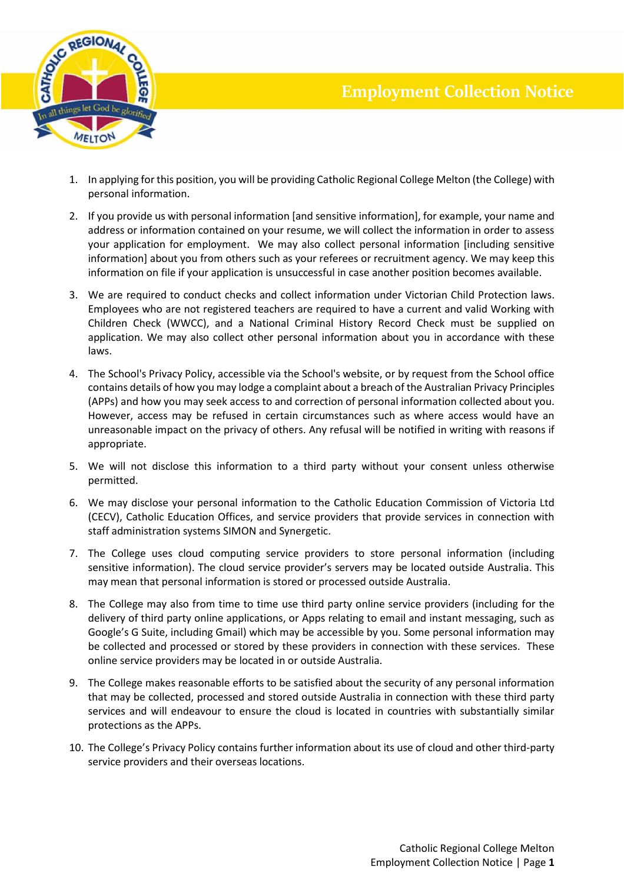

- 1. In applying for this position, you will be providing Catholic Regional College Melton (the College) with personal information.
- 2. If you provide us with personal information [and sensitive information], for example, your name and address or information contained on your resume, we will collect the information in order to assess your application for employment. We may also collect personal information [including sensitive information] about you from others such as your referees or recruitment agency. We may keep this information on file if your application is unsuccessful in case another position becomes available.
- 3. We are required to conduct checks and collect information under Victorian Child Protection laws. Employees who are not registered teachers are required to have a current and valid Working with Children Check (WWCC), and a National Criminal History Record Check must be supplied on application. We may also collect other personal information about you in accordance with these laws.
- 4. The School's Privacy Policy, accessible via the School's website, or by request from the School office contains details of how you may lodge a complaint about a breach of the Australian Privacy Principles (APPs) and how you may seek access to and correction of personal information collected about you. However, access may be refused in certain circumstances such as where access would have an unreasonable impact on the privacy of others. Any refusal will be notified in writing with reasons if appropriate.
- 5. We will not disclose this information to a third party without your consent unless otherwise permitted.
- 6. We may disclose your personal information to the Catholic Education Commission of Victoria Ltd (CECV), Catholic Education Offices, and service providers that provide services in connection with staff administration systems SIMON and Synergetic.
- 7. The College uses cloud computing service providers to store personal information (including sensitive information). The cloud service provider's servers may be located outside Australia. This may mean that personal information is stored or processed outside Australia.
- 8. The College may also from time to time use third party online service providers (including for the delivery of third party online applications, or Apps relating to email and instant messaging, such as Google's G Suite, including Gmail) which may be accessible by you. Some personal information may be collected and processed or stored by these providers in connection with these services. These online service providers may be located in or outside Australia.
- 9. The College makes reasonable efforts to be satisfied about the security of any personal information that may be collected, processed and stored outside Australia in connection with these third party services and will endeavour to ensure the cloud is located in countries with substantially similar protections as the APPs.
- 10. The College's Privacy Policy contains further information about its use of cloud and other third-party service providers and their overseas locations.